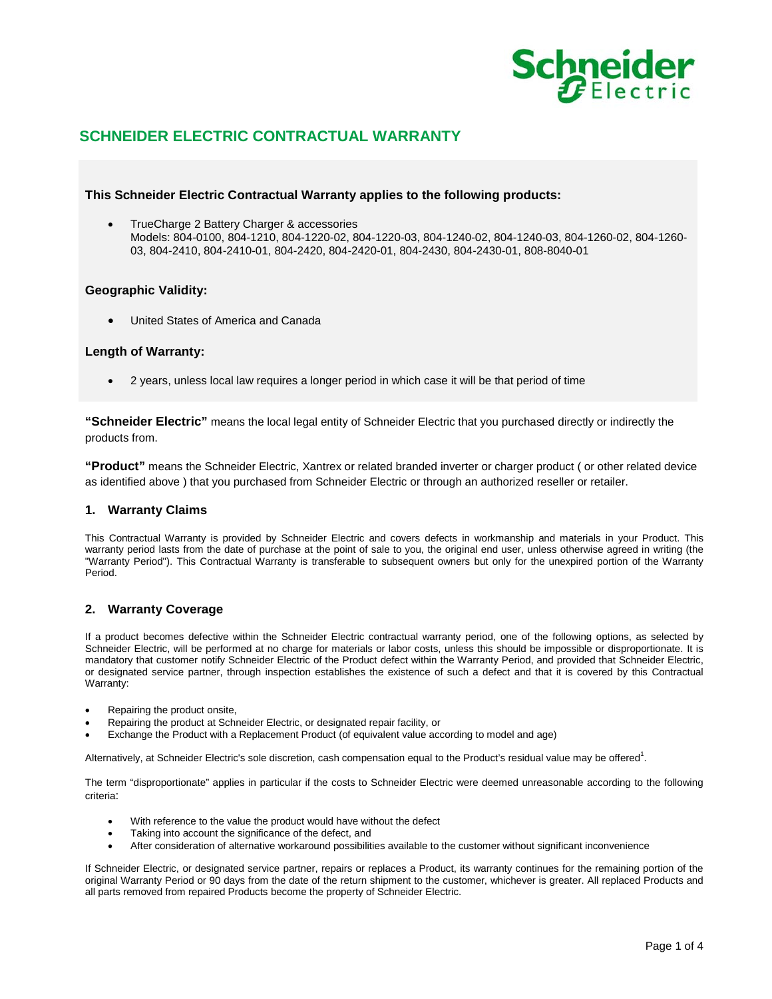

# **SCHNEIDER ELECTRIC CONTRACTUAL WARRANTY**

# **This Schneider Electric Contractual Warranty applies to the following products:**

• TrueCharge 2 Battery Charger & accessories Models: 804-0100, 804-1210, 804-1220-02, 804-1220-03, 804-1240-02, 804-1240-03, 804-1260-02, 804-1260- 03, 804-2410, 804-2410-01, 804-2420, 804-2420-01, 804-2430, 804-2430-01, 808-8040-01

# **Geographic Validity:**

• United States of America and Canada

# **Length of Warranty:**

• 2 years, unless local law requires a longer period in which case it will be that period of time

**"Schneider Electric"** means the local legal entity of Schneider Electric that you purchased directly or indirectly the products from.

**"Product"** means the Schneider Electric, Xantrex or related branded inverter or charger product ( or other related device as identified above ) that you purchased from Schneider Electric or through an authorized reseller or retailer.

# **1. Warranty Claims**

This Contractual Warranty is provided by Schneider Electric and covers defects in workmanship and materials in your Product. This warranty period lasts from the date of purchase at the point of sale to you, the original end user, unless otherwise agreed in writing (the "Warranty Period"). This Contractual Warranty is transferable to subsequent owners but only for the unexpired portion of the Warranty Period.

# **2. Warranty Coverage**

If a product becomes defective within the Schneider Electric contractual warranty period, one of the following options, as selected by Schneider Electric, will be performed at no charge for materials or labor costs, unless this should be impossible or disproportionate. It is mandatory that customer notify Schneider Electric of the Product defect within the Warranty Period, and provided that Schneider Electric, or designated service partner, through inspection establishes the existence of such a defect and that it is covered by this Contractual Warranty:

- Repairing the product onsite,
- Repairing the product at Schneider Electric, or designated repair facility, or
- Exchange the Product with a Replacement Product (of equivalent value according to model and age)

Alternatively, at Schneider Electric's sole discretion, cash compensation equal to the Product's residual value may be offered<sup>1</sup>.

The term "disproportionate" applies in particular if the costs to Schneider Electric were deemed unreasonable according to the following criteria:

- With reference to the value the product would have without the defect
- Taking into account the significance of the defect, and
- After consideration of alternative workaround possibilities available to the customer without significant inconvenience

If Schneider Electric, or designated service partner, repairs or replaces a Product, its warranty continues for the remaining portion of the original Warranty Period or 90 days from the date of the return shipment to the customer, whichever is greater. All replaced Products and all parts removed from repaired Products become the property of Schneider Electric.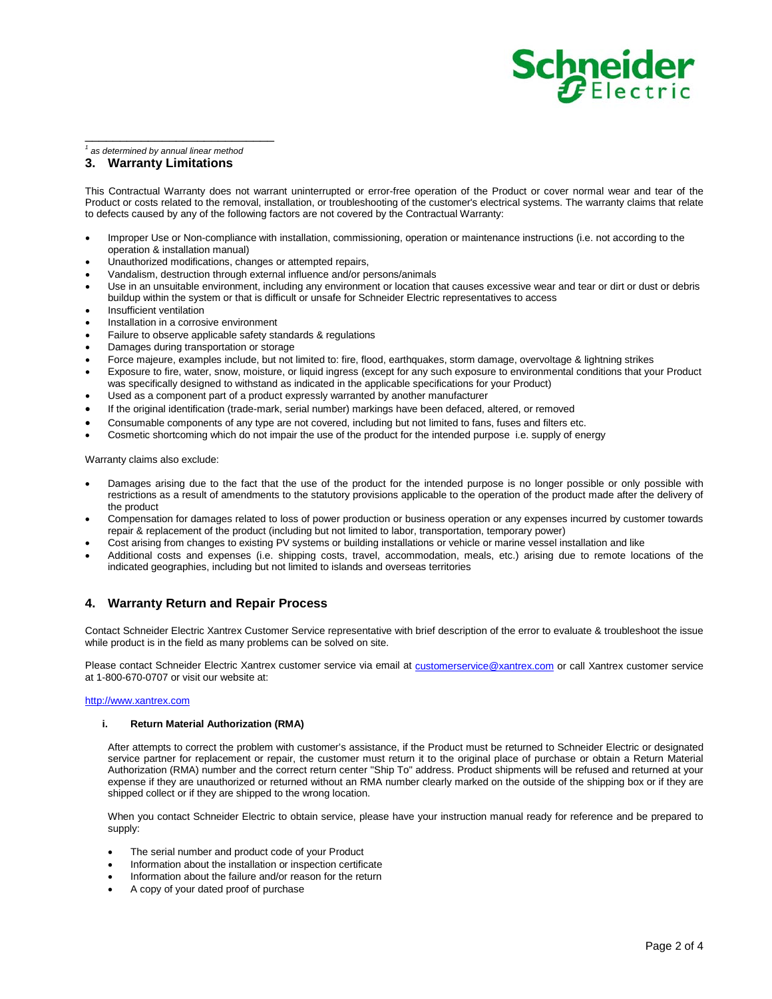# **Schneider**

### *<sup>1</sup> as determined by annual linear method*

\_\_\_\_\_\_\_\_\_\_\_\_\_\_\_\_\_\_\_\_\_\_\_\_\_\_\_

# **3. Warranty Limitations**

This Contractual Warranty does not warrant uninterrupted or error-free operation of the Product or cover normal wear and tear of the Product or costs related to the removal, installation, or troubleshooting of the customer's electrical systems. The warranty claims that relate to defects caused by any of the following factors are not covered by the Contractual Warranty:

- Improper Use or Non-compliance with installation, commissioning, operation or maintenance instructions (i.e. not according to the operation & installation manual)
- Unauthorized modifications, changes or attempted repairs,
- Vandalism, destruction through external influence and/or persons/animals
- Use in an unsuitable environment, including any environment or location that causes excessive wear and tear or dirt or dust or debris buildup within the system or that is difficult or unsafe for Schneider Electric representatives to access
- Insufficient ventilation
- Installation in a corrosive environment
- Failure to observe applicable safety standards & regulations
- Damages during transportation or storage
- Force majeure, examples include, but not limited to: fire, flood, earthquakes, storm damage, overvoltage & lightning strikes
- Exposure to fire, water, snow, moisture, or liquid ingress (except for any such exposure to environmental conditions that your Product was specifically designed to withstand as indicated in the applicable specifications for your Product)
- Used as a component part of a product expressly warranted by another manufacturer
- If the original identification (trade-mark, serial number) markings have been defaced, altered, or removed
- Consumable components of any type are not covered, including but not limited to fans, fuses and filters etc.
- Cosmetic shortcoming which do not impair the use of the product for the intended purpose i.e. supply of energy

Warranty claims also exclude:

- Damages arising due to the fact that the use of the product for the intended purpose is no longer possible or only possible with restrictions as a result of amendments to the statutory provisions applicable to the operation of the product made after the delivery of the product
- Compensation for damages related to loss of power production or business operation or any expenses incurred by customer towards repair & replacement of the product (including but not limited to labor, transportation, temporary power)
- Cost arising from changes to existing PV systems or building installations or vehicle or marine vessel installation and like
- Additional costs and expenses (i.e. shipping costs, travel, accommodation, meals, etc.) arising due to remote locations of the indicated geographies, including but not limited to islands and overseas territories

# **4. Warranty Return and Repair Process**

Contact Schneider Electric Xantrex Customer Service representative with brief description of the error to evaluate & troubleshoot the issue while product is in the field as many problems can be solved on site.

Please contact Schneider Electric Xantrex customer service via email at [customerservice@xantrex.com](mailto:customerservice@xantrex.com) or call Xantrex customer service at 1-800-670-0707 or visit our website at:

### [http://www.xantrex.com](http://www.xantrex.com/)

### **i. Return Material Authorization (RMA)**

After attempts to correct the problem with customer's assistance, if the Product must be returned to Schneider Electric or designated service partner for replacement or repair, the customer must return it to the original place of purchase or obtain a Return Material Authorization (RMA) number and the correct return center "Ship To" address. Product shipments will be refused and returned at your expense if they are unauthorized or returned without an RMA number clearly marked on the outside of the shipping box or if they are shipped collect or if they are shipped to the wrong location.

When you contact Schneider Electric to obtain service, please have your instruction manual ready for reference and be prepared to supply:

- The serial number and product code of your Product
- Information about the installation or inspection certificate
- Information about the failure and/or reason for the return
- A copy of your dated proof of purchase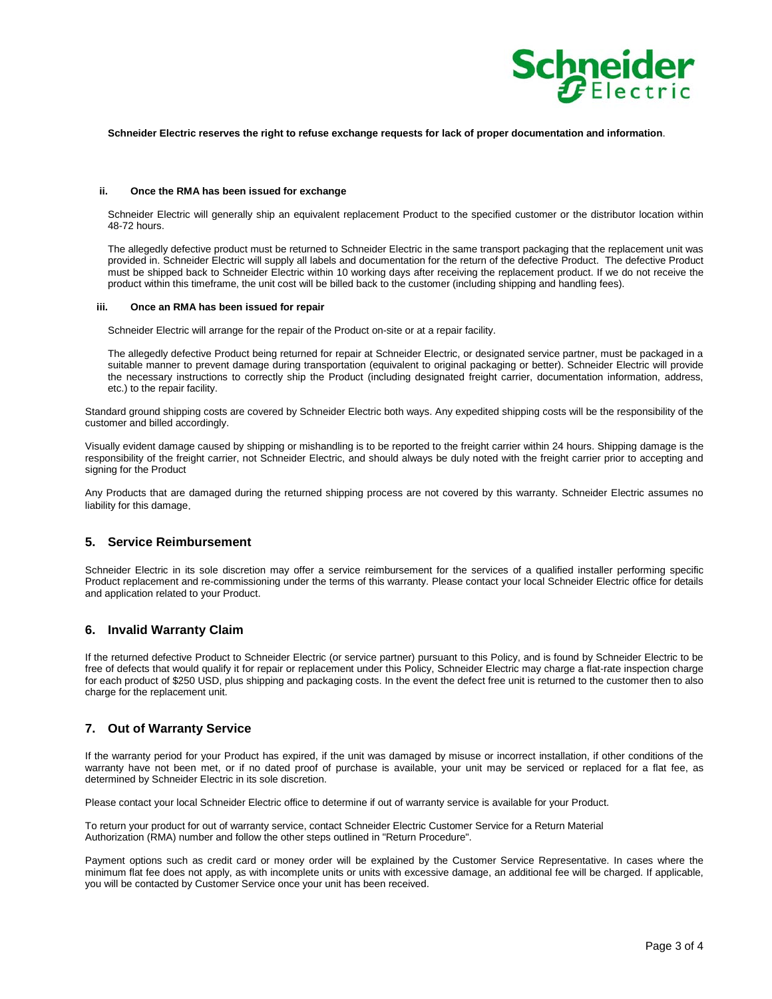

### **Schneider Electric reserves the right to refuse exchange requests for lack of proper documentation and information**.

### **ii. Once the RMA has been issued for exchange**

Schneider Electric will generally ship an equivalent replacement Product to the specified customer or the distributor location within 48-72 hours.

The allegedly defective product must be returned to Schneider Electric in the same transport packaging that the replacement unit was provided in. Schneider Electric will supply all labels and documentation for the return of the defective Product. The defective Product must be shipped back to Schneider Electric within 10 working days after receiving the replacement product. If we do not receive the product within this timeframe, the unit cost will be billed back to the customer (including shipping and handling fees).

### **iii. Once an RMA has been issued for repair**

Schneider Electric will arrange for the repair of the Product on-site or at a repair facility.

The allegedly defective Product being returned for repair at Schneider Electric, or designated service partner, must be packaged in a suitable manner to prevent damage during transportation (equivalent to original packaging or better). Schneider Electric will provide the necessary instructions to correctly ship the Product (including designated freight carrier, documentation information, address, etc.) to the repair facility.

Standard ground shipping costs are covered by Schneider Electric both ways. Any expedited shipping costs will be the responsibility of the customer and billed accordingly.

Visually evident damage caused by shipping or mishandling is to be reported to the freight carrier within 24 hours. Shipping damage is the responsibility of the freight carrier, not Schneider Electric, and should always be duly noted with the freight carrier prior to accepting and signing for the Product

Any Products that are damaged during the returned shipping process are not covered by this warranty. Schneider Electric assumes no liability for this damage.

### **5. Service Reimbursement**

Schneider Electric in its sole discretion may offer a service reimbursement for the services of a qualified installer performing specific Product replacement and re-commissioning under the terms of this warranty. Please contact your local Schneider Electric office for details and application related to your Product.

### **6. Invalid Warranty Claim**

If the returned defective Product to Schneider Electric (or service partner) pursuant to this Policy, and is found by Schneider Electric to be free of defects that would qualify it for repair or replacement under this Policy, Schneider Electric may charge a flat-rate inspection charge for each product of \$250 USD, plus shipping and packaging costs. In the event the defect free unit is returned to the customer then to also charge for the replacement unit.

# **7. Out of Warranty Service**

If the warranty period for your Product has expired, if the unit was damaged by misuse or incorrect installation, if other conditions of the warranty have not been met, or if no dated proof of purchase is available, your unit may be serviced or replaced for a flat fee, as determined by Schneider Electric in its sole discretion.

Please contact your local Schneider Electric office to determine if out of warranty service is available for your Product.

To return your product for out of warranty service, contact Schneider Electric Customer Service for a Return Material Authorization (RMA) number and follow the other steps outlined in "Return Procedure".

Payment options such as credit card or money order will be explained by the Customer Service Representative. In cases where the minimum flat fee does not apply, as with incomplete units or units with excessive damage, an additional fee will be charged. If applicable, you will be contacted by Customer Service once your unit has been received.